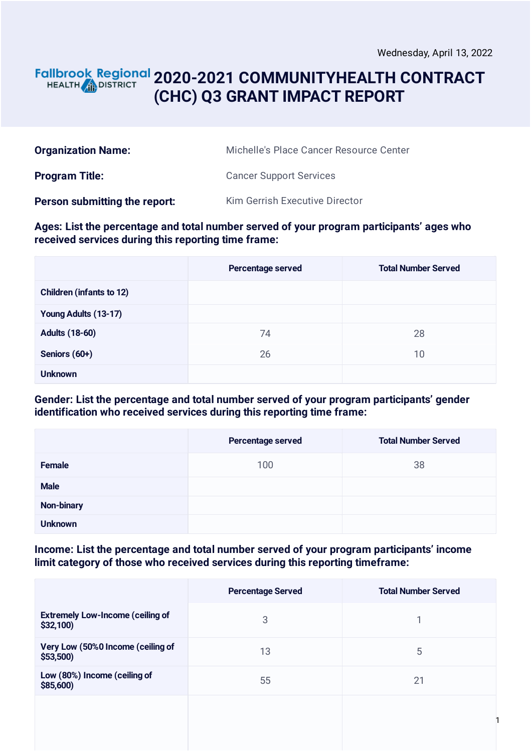#### **2020-2021 COMMUNITYHEALTH CONTRACT** HEALTH **AND DISTRICT (CHC) Q3 GRANT IMPACT REPORT**

| <b>Organization Name:</b>     | Michelle's Place Cancer Resource Center |
|-------------------------------|-----------------------------------------|
| <b>Program Title:</b>         | <b>Cancer Support Services</b>          |
| Person submitting the report: | Kim Gerrish Executive Director          |

#### **Ages: List the percentage and total number served of your program participants' ages who received services during this reporting time frame:**

|                                 | Percentage served | <b>Total Number Served</b> |
|---------------------------------|-------------------|----------------------------|
| <b>Children (infants to 12)</b> |                   |                            |
| Young Adults (13-17)            |                   |                            |
| <b>Adults (18-60)</b>           | 74                | 28                         |
| Seniors (60+)                   | 26                | 10                         |
| <b>Unknown</b>                  |                   |                            |

#### **Gender: List the percentage and total number served of your program participants' gender identification who received services during this reporting time frame:**

|                   | Percentage served | <b>Total Number Served</b> |
|-------------------|-------------------|----------------------------|
| <b>Female</b>     | 100               | 38                         |
| <b>Male</b>       |                   |                            |
| <b>Non-binary</b> |                   |                            |
| <b>Unknown</b>    |                   |                            |

#### **Income: List the percentage and total number served of your program participants' income limit category of those who received services during this reporting timeframe:**

|                                                     | <b>Percentage Served</b> | <b>Total Number Served</b> |
|-----------------------------------------------------|--------------------------|----------------------------|
| <b>Extremely Low-Income (ceiling of</b><br>\$32,100 | 3                        |                            |
| Very Low (50%0 Income (ceiling of<br>\$53,500       | 13                       | 5                          |
| Low (80%) Income (ceiling of<br>\$85,600)           | 55                       | 21                         |
|                                                     |                          |                            |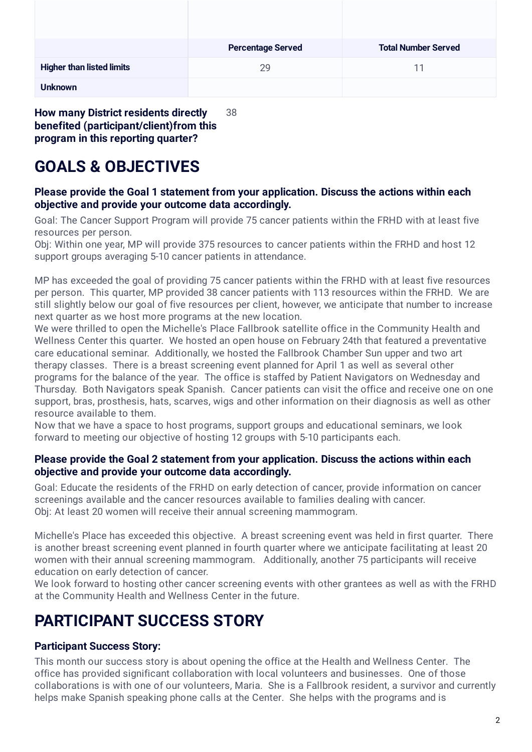|                                  | <b>Percentage Served</b> | <b>Total Number Served</b> |
|----------------------------------|--------------------------|----------------------------|
| <b>Higher than listed limits</b> | 29                       | 11                         |
| <b>Unknown</b>                   |                          |                            |

**How many District residents directly benefited (participant/client)from this program in this reporting quarter?** 38

# **GOALS & OBJECTIVES**

#### **Please provide the Goal 1 statement from your application. Discuss the actions within each objective and provide your outcome data accordingly.**

Goal: The Cancer Support Program will provide 75 cancer patients within the FRHD with at least five resources per person.

Obj: Within one year, MP will provide 375 resources to cancer patients within the FRHD and host 12 support groups averaging 5-10 cancer patients in attendance.

MP has exceeded the goal of providing 75 cancer patients within the FRHD with at least five resources per person. This quarter, MP provided 38 cancer patients with 113 resources within the FRHD. We are still slightly below our goal of five resources per client, however, we anticipate that number to increase next quarter as we host more programs at the new location.

We were thrilled to open the Michelle's Place Fallbrook satellite office in the Community Health and Wellness Center this quarter. We hosted an open house on February 24th that featured a preventative care educational seminar. Additionally, we hosted the Fallbrook Chamber Sun upper and two art therapy classes. There is a breast screening event planned for April 1 as well as several other programs for the balance of the year. The office is staffed by Patient Navigators on Wednesday and Thursday. Both Navigators speak Spanish. Cancer patients can visit the office and receive one on one support, bras, prosthesis, hats, scarves, wigs and other information on their diagnosis as well as other resource available to them.

Now that we have a space to host programs, support groups and educational seminars, we look forward to meeting our objective of hosting 12 groups with 5-10 participants each.

#### **Please provide the Goal 2 statement from your application. Discuss the actions within each objective and provide your outcome data accordingly.**

Goal: Educate the residents of the FRHD on early detection of cancer, provide information on cancer screenings available and the cancer resources available to families dealing with cancer. Obj: At least 20 women will receive their annual screening mammogram.

Michelle's Place has exceeded this objective. A breast screening event was held in first quarter. There is another breast screening event planned in fourth quarter where we anticipate facilitating at least 20 women with their annual screening mammogram. Additionally, another 75 participants will receive education on early detection of cancer.

We look forward to hosting other cancer screening events with other grantees as well as with the FRHD at the Community Health and Wellness Center in the future.

## **PARTICIPANT SUCCESS STORY**

#### **Participant Success Story:**

This month our success story is about opening the office at the Health and Wellness Center. The office has provided significant collaboration with local volunteers and businesses. One of those collaborations is with one of our volunteers, Maria. She is a Fallbrook resident, a survivor and currently helps make Spanish speaking phone calls at the Center. She helps with the programs and is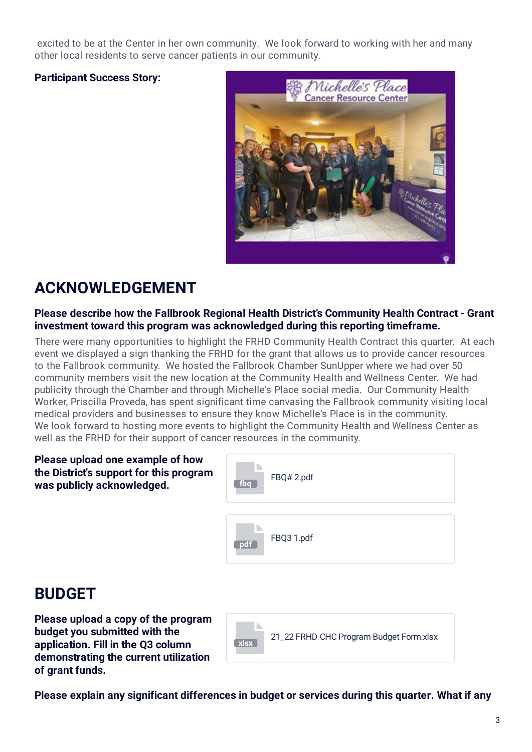excited to be at the Center in her own community. We look forward to working with her and many other local residents to serve cancer patients in our community.

#### **Participant Success Story:**



# **ACKNOWLEDGEMENT**

#### **Please describe how the Fallbrook Regional Health District's Community Health Contract - Grant investment toward this program was acknowledged during this reporting timeframe.**

There were many opportunities to highlight the FRHD Community Health Contract this quarter. At each event we displayed a sign thanking the FRHD for the grant that allows us to provide cancer resources to the Fallbrook community. We hosted the Fallbrook Chamber SunUpper where we had over 50 community members visit the new location at the Community Health and Wellness Center. We had publicity through the Chamber and through Michelle's Place social media. Our Community Health Worker, Priscilla Proveda, has spent significant time canvasing the Fallbrook community visiting local medical providers and businesses to ensure they know Michelle's Place is in the community. We look forward to hosting more events to highlight the Community Health and Wellness Center as well as the FRHD for their support of cancer resources in the community.

| Please upload one example of how<br>the District's support for this program<br>was publicly acknowledged. | fba | FBQ#2.pdf |
|-----------------------------------------------------------------------------------------------------------|-----|-----------|
|                                                                                                           |     |           |

| fbq | FBQ#2.pdf  |
|-----|------------|
|     |            |
| pdf | FBQ3 1.pdf |

### **BUDGET**

**Please upload a copy of the program budget you submitted with the application. Fill in the Q3 column demonstrating the current utilization of grant funds.**



**Please explain any significant differences in budget or services during this quarter. What if any**